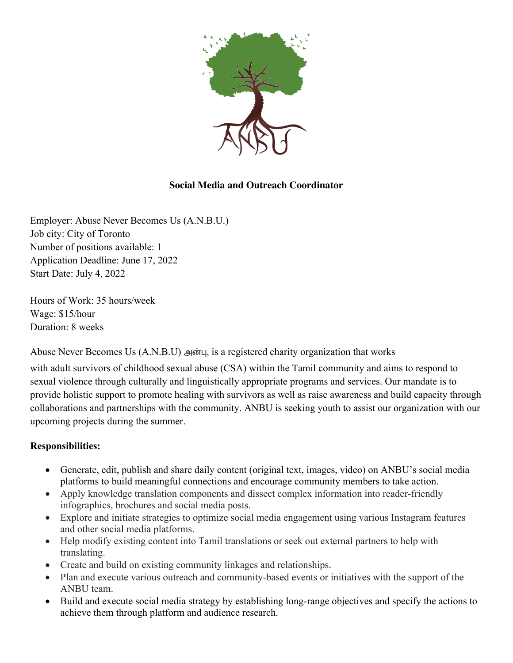

## **Social Media and Outreach Coordinator**

Employer: Abuse Never Becomes Us (A.N.B.U.) Job city: City of Toronto Number of positions available: 1 Application Deadline: June 17, 2022 Start Date: July 4, 2022

Hours of Work: 35 hours/week Wage: \$15/hour Duration: 8 weeks

Abuse Never Becomes Us  $(A.N.B.U)$  அன்பு, is a registered charity organization that works

with adult survivors of childhood sexual abuse (CSA) within the Tamil community and aims to respond to sexual violence through culturally and linguistically appropriate programs and services. Our mandate is to provide holistic support to promote healing with survivors as well as raise awareness and build capacity through collaborations and partnerships with the community. ANBU is seeking youth to assist our organization with our upcoming projects during the summer.

## **Responsibilities:**

- Generate, edit, publish and share daily content (original text, images, video) on ANBU's social media platforms to build meaningful connections and encourage community members to take action.
- Apply knowledge translation components and dissect complex information into reader-friendly infographics, brochures and social media posts.
- Explore and initiate strategies to optimize social media engagement using various Instagram features and other social media platforms.
- Help modify existing content into Tamil translations or seek out external partners to help with translating.
- Create and build on existing community linkages and relationships.
- Plan and execute various outreach and community-based events or initiatives with the support of the ANBU team.
- Build and execute social media strategy by establishing long-range objectives and specify the actions to achieve them through platform and audience research.